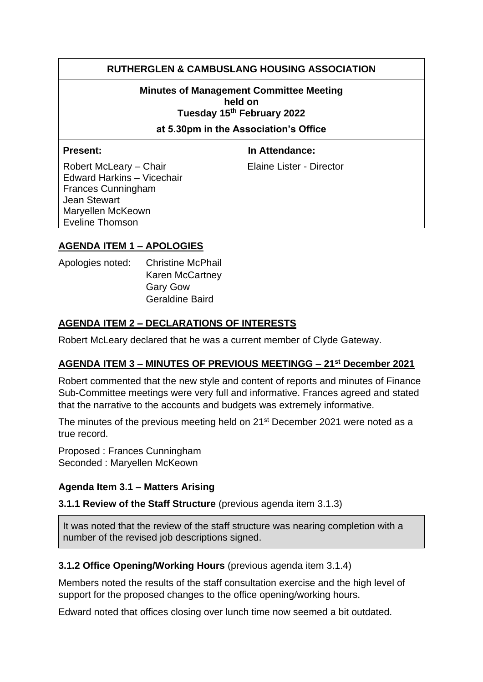# **RUTHERGLEN & CAMBUSLANG HOUSING ASSOCIATION**

**Minutes of Management Committee Meeting held on Tuesday 15th February 2022** 

**at 5.30pm in the Association's Office**

**Present:** In Attendance:

Robert McLeary – Chair Elaine Lister - Director Edward Harkins – Vicechair Frances Cunningham Jean Stewart Maryellen McKeown Eveline Thomson

# **AGENDA ITEM 1 – APOLOGIES**

| Apologies noted: | <b>Christine McPhail</b> |
|------------------|--------------------------|
|                  | Karen McCartney          |
|                  | <b>Gary Gow</b>          |
|                  | <b>Geraldine Baird</b>   |

# **AGENDA ITEM 2 – DECLARATIONS OF INTERESTS**

Robert McLeary declared that he was a current member of Clyde Gateway.

#### **AGENDA ITEM 3 – MINUTES OF PREVIOUS MEETINGG – 21st December 2021**

Robert commented that the new style and content of reports and minutes of Finance Sub-Committee meetings were very full and informative. Frances agreed and stated that the narrative to the accounts and budgets was extremely informative.

The minutes of the previous meeting held on 21<sup>st</sup> December 2021 were noted as a true record.

Proposed : Frances Cunningham Seconded : Maryellen McKeown

# **Agenda Item 3.1 – Matters Arising**

**3.1.1 Review of the Staff Structure** (previous agenda item 3.1.3)

It was noted that the review of the staff structure was nearing completion with a number of the revised job descriptions signed.

#### **3.1.2 Office Opening/Working Hours** (previous agenda item 3.1.4)

Members noted the results of the staff consultation exercise and the high level of support for the proposed changes to the office opening/working hours.

Edward noted that offices closing over lunch time now seemed a bit outdated.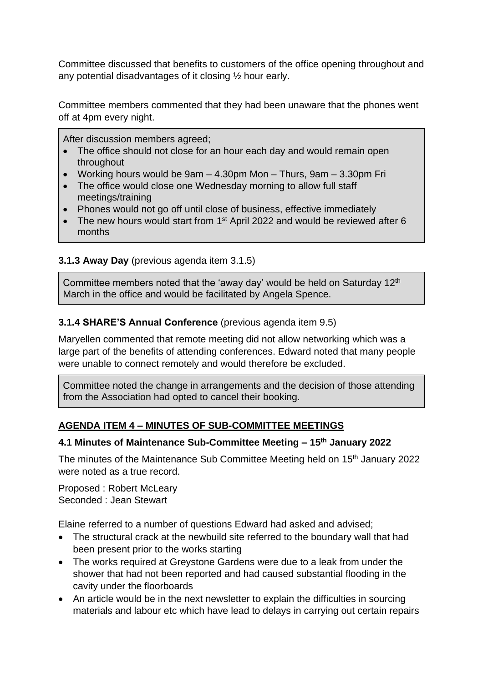Committee discussed that benefits to customers of the office opening throughout and any potential disadvantages of it closing ½ hour early.

Committee members commented that they had been unaware that the phones went off at 4pm every night.

After discussion members agreed;

- The office should not close for an hour each day and would remain open throughout
- Working hours would be  $9am 4.30dm$  Mon Thurs,  $9am 3.30dm$  Fri
- The office would close one Wednesday morning to allow full staff meetings/training
- Phones would not go off until close of business, effective immediately
- The new hours would start from 1<sup>st</sup> April 2022 and would be reviewed after 6 months

# **3.1.3 Away Day** (previous agenda item 3.1.5)

Committee members noted that the 'away day' would be held on Saturday 12<sup>th</sup> March in the office and would be facilitated by Angela Spence.

#### **3.1.4 SHARE'S Annual Conference** (previous agenda item 9.5)

Maryellen commented that remote meeting did not allow networking which was a large part of the benefits of attending conferences. Edward noted that many people were unable to connect remotely and would therefore be excluded.

Committee noted the change in arrangements and the decision of those attending from the Association had opted to cancel their booking.

# **AGENDA ITEM 4 – MINUTES OF SUB-COMMITTEE MEETINGS**

#### **4.1 Minutes of Maintenance Sub-Committee Meeting – 15th January 2022**

The minutes of the Maintenance Sub Committee Meeting held on 15<sup>th</sup> January 2022 were noted as a true record.

Proposed : Robert McLeary Seconded : Jean Stewart

Elaine referred to a number of questions Edward had asked and advised;

- The structural crack at the newbuild site referred to the boundary wall that had been present prior to the works starting
- The works required at Greystone Gardens were due to a leak from under the shower that had not been reported and had caused substantial flooding in the cavity under the floorboards
- An article would be in the next newsletter to explain the difficulties in sourcing materials and labour etc which have lead to delays in carrying out certain repairs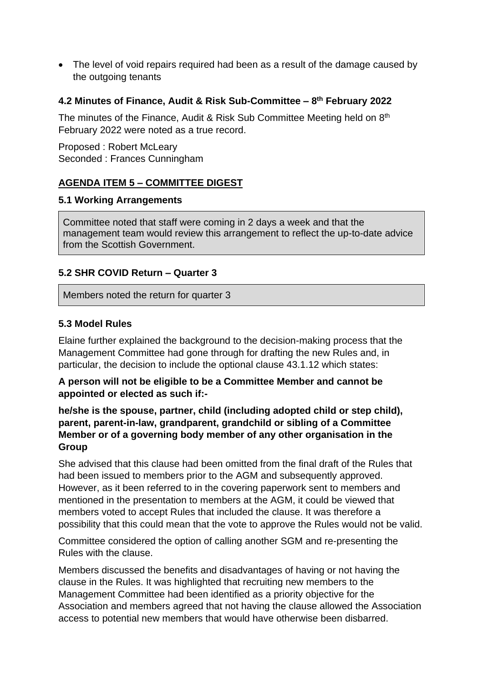• The level of void repairs required had been as a result of the damage caused by the outgoing tenants

# **4.2 Minutes of Finance, Audit & Risk Sub-Committee – 8 th February 2022**

The minutes of the Finance, Audit & Risk Sub Committee Meeting held on 8<sup>th</sup> February 2022 were noted as a true record.

Proposed : Robert McLeary Seconded : Frances Cunningham

# **AGENDA ITEM 5 – COMMITTEE DIGEST**

#### **5.1 Working Arrangements**

Committee noted that staff were coming in 2 days a week and that the management team would review this arrangement to reflect the up-to-date advice from the Scottish Government.

#### **5.2 SHR COVID Return – Quarter 3**

Members noted the return for quarter 3

#### **5.3 Model Rules**

Elaine further explained the background to the decision-making process that the Management Committee had gone through for drafting the new Rules and, in particular, the decision to include the optional clause 43.1.12 which states:

#### **A person will not be eligible to be a Committee Member and cannot be appointed or elected as such if:-**

### **he/she is the spouse, partner, child (including adopted child or step child), parent, parent-in-law, grandparent, grandchild or sibling of a Committee Member or of a governing body member of any other organisation in the Group**

She advised that this clause had been omitted from the final draft of the Rules that had been issued to members prior to the AGM and subsequently approved. However, as it been referred to in the covering paperwork sent to members and mentioned in the presentation to members at the AGM, it could be viewed that members voted to accept Rules that included the clause. It was therefore a possibility that this could mean that the vote to approve the Rules would not be valid.

Committee considered the option of calling another SGM and re-presenting the Rules with the clause.

Members discussed the benefits and disadvantages of having or not having the clause in the Rules. It was highlighted that recruiting new members to the Management Committee had been identified as a priority objective for the Association and members agreed that not having the clause allowed the Association access to potential new members that would have otherwise been disbarred.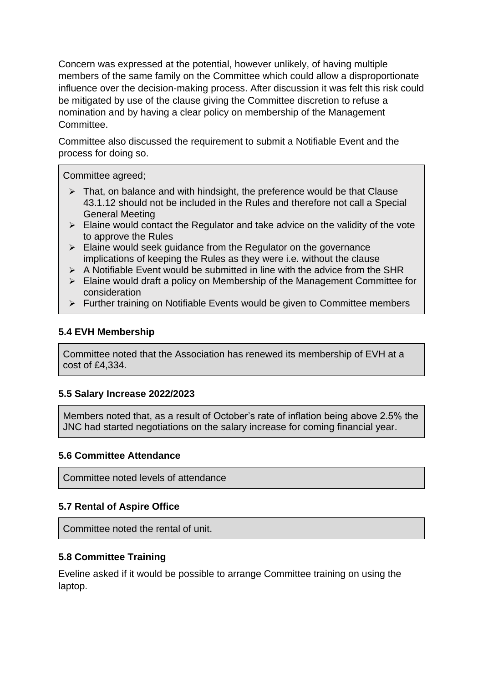Concern was expressed at the potential, however unlikely, of having multiple members of the same family on the Committee which could allow a disproportionate influence over the decision-making process. After discussion it was felt this risk could be mitigated by use of the clause giving the Committee discretion to refuse a nomination and by having a clear policy on membership of the Management **Committee.** 

Committee also discussed the requirement to submit a Notifiable Event and the process for doing so.

Committee agreed;

- $\triangleright$  That, on balance and with hindsight, the preference would be that Clause 43.1.12 should not be included in the Rules and therefore not call a Special General Meeting
- $\triangleright$  Elaine would contact the Regulator and take advice on the validity of the vote to approve the Rules
- $\triangleright$  Elaine would seek guidance from the Regulator on the governance implications of keeping the Rules as they were i.e. without the clause
- $\triangleright$  A Notifiable Event would be submitted in line with the advice from the SHR
- ➢ Elaine would draft a policy on Membership of the Management Committee for consideration
- ➢ Further training on Notifiable Events would be given to Committee members

# **5.4 EVH Membership**

Committee noted that the Association has renewed its membership of EVH at a cost of £4,334.

# **5.5 Salary Increase 2022/2023**

Members noted that, as a result of October's rate of inflation being above 2.5% the JNC had started negotiations on the salary increase for coming financial year.

# **5.6 Committee Attendance**

Committee noted levels of attendance

# **5.7 Rental of Aspire Office**

Committee noted the rental of unit.

# **5.8 Committee Training**

Eveline asked if it would be possible to arrange Committee training on using the laptop.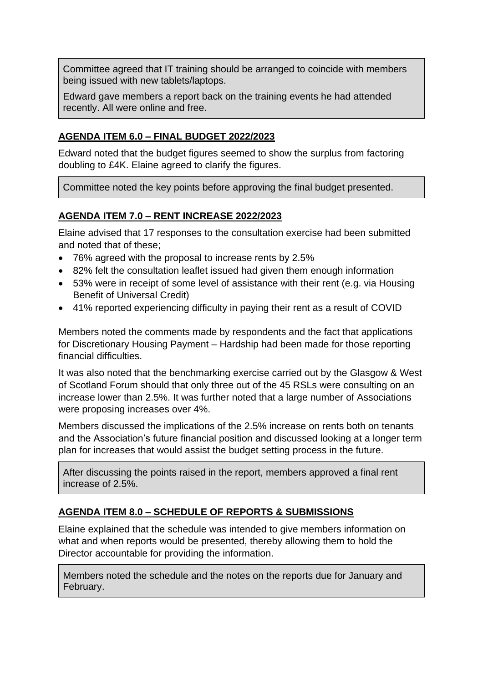Committee agreed that IT training should be arranged to coincide with members being issued with new tablets/laptops.

Edward gave members a report back on the training events he had attended recently. All were online and free.

#### **AGENDA ITEM 6.0 – FINAL BUDGET 2022/2023**

Edward noted that the budget figures seemed to show the surplus from factoring doubling to £4K. Elaine agreed to clarify the figures.

Committee noted the key points before approving the final budget presented.

# **AGENDA ITEM 7.0 – RENT INCREASE 2022/2023**

Elaine advised that 17 responses to the consultation exercise had been submitted and noted that of these;

- 76% agreed with the proposal to increase rents by 2.5%
- 82% felt the consultation leaflet issued had given them enough information
- 53% were in receipt of some level of assistance with their rent (e.g. via Housing Benefit of Universal Credit)
- 41% reported experiencing difficulty in paying their rent as a result of COVID

Members noted the comments made by respondents and the fact that applications for Discretionary Housing Payment – Hardship had been made for those reporting financial difficulties.

It was also noted that the benchmarking exercise carried out by the Glasgow & West of Scotland Forum should that only three out of the 45 RSLs were consulting on an increase lower than 2.5%. It was further noted that a large number of Associations were proposing increases over 4%.

Members discussed the implications of the 2.5% increase on rents both on tenants and the Association's future financial position and discussed looking at a longer term plan for increases that would assist the budget setting process in the future.

After discussing the points raised in the report, members approved a final rent increase of 2.5%.

# **AGENDA ITEM 8.0 – SCHEDULE OF REPORTS & SUBMISSIONS**

Elaine explained that the schedule was intended to give members information on what and when reports would be presented, thereby allowing them to hold the Director accountable for providing the information.

Members noted the schedule and the notes on the reports due for January and February.